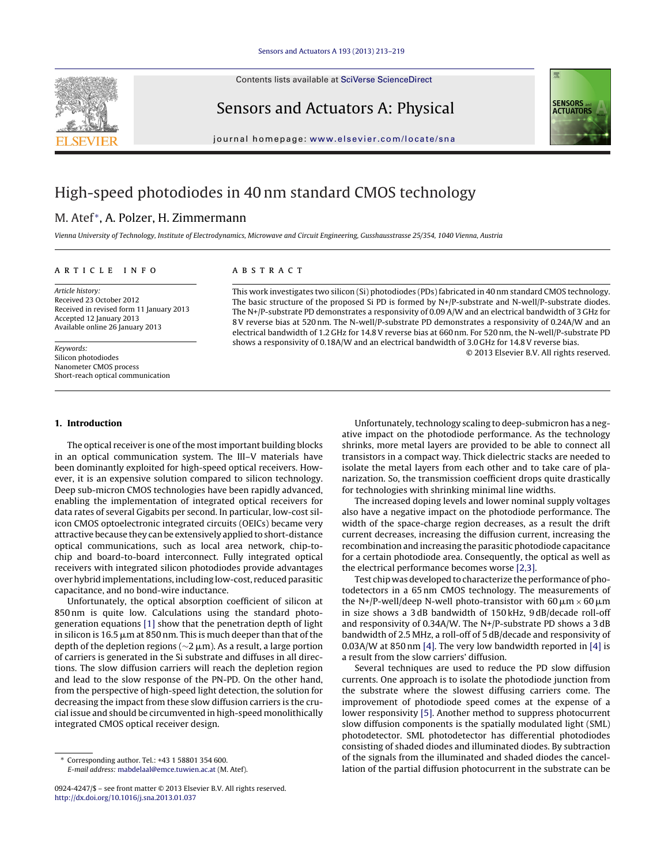Contents lists available at SciVerse [ScienceDirect](http://www.sciencedirect.com/science/journal/09244247)

Sensors and Actuators A: Physical



iournal homepage: [www.elsevier.com/locate/sna](http://www.elsevier.com/locate/sna)

## High-speed photodiodes in 40 nm standard CMOS technology

### M. Atef<sup>\*</sup>, A. Polzer, H. Zimmermann

Vienna University of Technology, Institute of Electrodynamics, Microwave and Circuit Engineering, Gusshausstrasse 25/354, 1040 Vienna, Austria

#### a r t i c l e i n f o

Article history: Received 23 October 2012 Received in revised form 11 January 2013 Accepted 12 January 2013 Available online 26 January 2013

Keywords: Silicon photodiodes Nanometer CMOS process Short-reach optical communication

#### A B S T R A C T

This work investigates two silicon (Si) photodiodes (PDs) fabricated in 40 nm standard CMOS technology. The basic structure of the proposed Si PD is formed by N+/P-substrate and N-well/P-substrate diodes. The N+/P-substrate PD demonstrates a responsivity of 0.09 A/W and an electrical bandwidth of 3 GHz for 8V reverse bias at 520 nm. The N-well/P-substrate PD demonstrates a responsivity of 0.24A/W and an electrical bandwidth of 1.2 GHz for 14.8V reverse bias at 660 nm. For 520 nm, the N-well/P-substrate PD shows a responsivity of 0.18A/W and an electrical bandwidth of 3.0 GHz for 14.8V reverse bias.

© 2013 Elsevier B.V. All rights reserved.

#### **1. Introduction**

The optical receiver is one of the most important building blocks in an optical communication system. The III–V materials have been dominantly exploited for high-speed optical receivers. However, it is an expensive solution compared to silicon technology. Deep sub-micron CMOS technologies have been rapidly advanced, enabling the implementation of integrated optical receivers for data rates of several Gigabits per second. In particular, low-cost silicon CMOS optoelectronic integrated circuits (OEICs) became very attractive because they can be extensively applied to short-distance optical communications, such as local area network, chip-tochip and board-to-board interconnect. Fully integrated optical receivers with integrated silicon photodiodes provide advantages overhybrid implementations, including low-cost, reduced parasitic capacitance, and no bond-wire inductance.

Unfortunately, the optical absorption coefficient of silicon at 850 nm is quite low. Calculations using the standard photogeneration equations [\[1\]](#page--1-0) show that the penetration depth of light in silicon is 16.5  $\mu$ m at 850 nm. This is much deeper than that of the depth of the depletion regions ( $\sim$ 2 µm). As a result, a large portion of carriers is generated in the Si substrate and diffuses in all directions. The slow diffusion carriers will reach the depletion region and lead to the slow response of the PN-PD. On the other hand, from the perspective of high-speed light detection, the solution for decreasing the impact from these slow diffusion carriers is the crucial issue and should be circumvented in high-speed monolithically integrated CMOS optical receiver design.

Unfortunately, technology scaling to deep-submicron has a negative impact on the photodiode performance. As the technology shrinks, more metal layers are provided to be able to connect all transistors in a compact way. Thick dielectric stacks are needed to isolate the metal layers from each other and to take care of planarization. So, the transmission coefficient drops quite drastically for technologies with shrinking minimal line widths.

The increased doping levels and lower nominal supply voltages also have a negative impact on the photodiode performance. The width of the space-charge region decreases, as a result the drift current decreases, increasing the diffusion current, increasing the recombination and increasing the parasitic photodiode capacitance for a certain photodiode area. Consequently, the optical as well as the electrical performance becomes worse [\[2,3\].](#page--1-0)

Test chip was developed to characterize the performance of photodetectors in a 65 nm CMOS technology. The measurements of the N+/P-well/deep N-well photo-transistor with 60  $\mu$ m  $\times$  60  $\mu$ m in size shows a 3 dB bandwidth of 150 kHz, 9 dB/decade roll-off and responsivity of 0.34A/W. The N+/P-substrate PD shows a 3 dB bandwidth of 2.5 MHz, a roll-off of 5 dB/decade and responsivity of 0.03A/W at 850 nm [\[4\].](#page--1-0) The very low bandwidth reported in [\[4\]](#page--1-0) is a result from the slow carriers' diffusion.

Several techniques are used to reduce the PD slow diffusion currents. One approach is to isolate the photodiode junction from the substrate where the slowest diffusing carriers come. The improvement of photodiode speed comes at the expense of a lower responsivity [\[5\].](#page--1-0) Another method to suppress photocurrent slow diffusion components is the spatially modulated light (SML) photodetector. SML photodetector has differential photodiodes consisting of shaded diodes and illuminated diodes. By subtraction of the signals from the illuminated and shaded diodes the cancellation of the partial diffusion photocurrent in the substrate can be



<sup>∗</sup> Corresponding author. Tel.: +43 1 58801 354 600. E-mail address: [mabdelaal@emce.tuwien.ac.at](mailto:mabdelaal@emce.tuwien.ac.at) (M. Atef).

<sup>0924-4247/\$</sup> – see front matter © 2013 Elsevier B.V. All rights reserved. [http://dx.doi.org/10.1016/j.sna.2013.01.037](dx.doi.org/10.1016/j.sna.2013.01.037)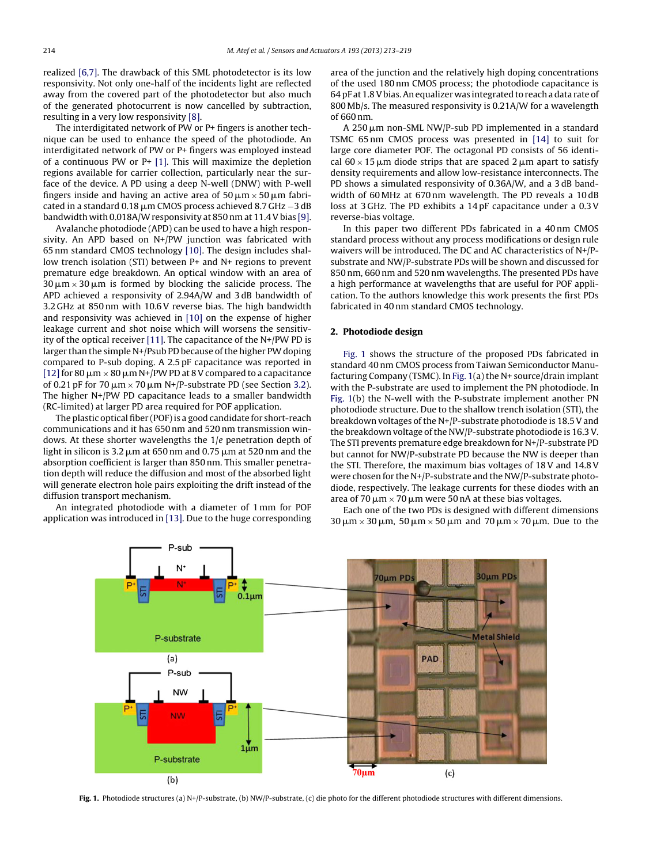realized [\[6,7\].](#page--1-0) The drawback of this SML photodetector is its low responsivity. Not only one-half of the incidents light are reflected away from the covered part of the photodetector but also much of the generated photocurrent is now cancelled by subtraction, resulting in a very low responsivity [\[8\].](#page--1-0)

The interdigitated network of PW or P+ fingers is another technique can be used to enhance the speed of the photodiode. An interdigitated network of PW or P+ fingers was employed instead of a continuous PW or P+ [\[1\].](#page--1-0) This will maximize the depletion regions available for carrier collection, particularly near the surface of the device. A PD using a deep N-well (DNW) with P-well fingers inside and having an active area of  $50\,\rm\mu m$   $\times$   $50\,\rm\mu m$  fabricated in a standard 0.18  $\mu$ m CMOS process achieved 8.7 GHz  $-3$  dB bandwidth with 0.018A/W responsivity at 850 nm at 11.4 V bias [\[9\].](#page--1-0)

Avalanche photodiode (APD) can be used to have a high responsivity. An APD based on N+/PW junction was fabricated with 65 nm standard CMOS technology [\[10\].](#page--1-0) The design includes shallow trench isolation (STI) between P+ and N+ regions to prevent premature edge breakdown. An optical window with an area of  $30 \,\mu\text{m} \times 30 \,\mu\text{m}$  is formed by blocking the salicide process. The APD achieved a responsivity of 2.94A/W and 3 dB bandwidth of 3.2 GHz at 850 nm with 10.6V reverse bias. The high bandwidth and responsivity was achieved in [\[10\]](#page--1-0) on the expense of higher leakage current and shot noise which will worsens the sensitivity of the optical receiver [\[11\].](#page--1-0) The capacitance of the N+/PW PD is larger than the simple N+/Psub PD because of the higher PW doping compared to P-sub doping. A 2.5 pF capacitance was reported in [12] for 80  $\upmu$ m  $\times$  80  $\upmu$ m N+/PW PD at 8 V compared to a capacitance of 0.21 pF for 70  $\upmu$ m  $\times$  70  $\upmu$ m N+/P-substrate PD (see Section [3.2\).](#page--1-0) The higher N+/PW PD capacitance leads to a smaller bandwidth (RC-limited) at larger PD area required for POF application.

The plastic optical fiber (POF)is a good candidate for short-reach communications and it has 650 nm and 520 nm transmission windows. At these shorter wavelengths the 1/e penetration depth of light in silicon is 3.2  $\mu$ m at 650 nm and 0.75  $\mu$ m at 520 nm and the absorption coefficient is larger than 850 nm. This smaller penetration depth will reduce the diffusion and most of the absorbed light will generate electron hole pairs exploiting the drift instead of the diffusion transport mechanism.

An integrated photodiode with a diameter of 1 mm for POF application was introduced in [\[13\].](#page--1-0) Due to the huge corresponding area of the junction and the relatively high doping concentrations of the used 180 nm CMOS process; the photodiode capacitance is 64 pF at 1.8 V bias. An equalizer was integrated to reach a data rate of 800 Mb/s. The measured responsivity is 0.21A/W for a wavelength of 660 nm.

A 250 µm non-SML NW/P-sub PD implemented in a standard TSMC 65 nm CMOS process was presented in [\[14\]](#page--1-0) to suit for large core diameter POF. The octagonal PD consists of 56 identical  $60 \times 15$   $\mu$ m diode strips that are spaced 2  $\mu$ m apart to satisfy density requirements and allow low-resistance interconnects. The PD shows a simulated responsivity of 0.36A/W, and a 3 dB bandwidth of 60 MHz at 670 nm wavelength. The PD reveals a 10 dB loss at 3 GHz. The PD exhibits a 14 pF capacitance under a 0.3V reverse-bias voltage.

In this paper two different PDs fabricated in a 40 nm CMOS standard process without any process modifications or design rule waivers will be introduced. The DC and AC characteristics of N+/Psubstrate and NW/P-substrate PDs will be shown and discussed for 850 nm, 660 nm and 520 nm wavelengths. The presented PDs have a high performance at wavelengths that are useful for POF application. To the authors knowledge this work presents the first PDs fabricated in 40 nm standard CMOS technology.

#### **2. Photodiode design**

Fig. 1 shows the structure of the proposed PDs fabricated in standard 40 nm CMOS process from Taiwan Semiconductor Manufacturing Company (TSMC). In Fig. 1(a) the N+ source/drain implant with the P-substrate are used to implement the PN photodiode. In Fig. 1(b) the N-well with the P-substrate implement another PN photodiode structure. Due to the shallow trench isolation (STI), the breakdown voltages of the N+/P-substrate photodiode is 18.5 V and the breakdown voltage of the NW/P-substrate photodiode is 16.3 V. The STI prevents premature edge breakdown for N+/P-substrate PD but cannot for NW/P-substrate PD because the NW is deeper than the STI. Therefore, the maximum bias voltages of 18V and 14.8V were chosen for the N+/P-substrate and the NW/P-substrate photodiode, respectively. The leakage currents for these diodes with an area of 70  $\upmu$ m  $\times$  70  $\upmu$ m were 50 nA at these bias voltages.

Each one of the two PDs is designed with different dimensions  $30\,\mu{\rm m}$   $\times$   $30\,\mu{\rm m}$ ,  $50\,\mu{\rm m}$   $\times$   $50\,\mu{\rm m}$  and  $70\,\mu{\rm m}$   $\times$   $70\,\mu{\rm m}$ . Due to the



**Fig. 1.** Photodiode structures (a) N+/P-substrate, (b) NW/P-substrate, (c) die photo for the different photodiode structures with different dimensions.